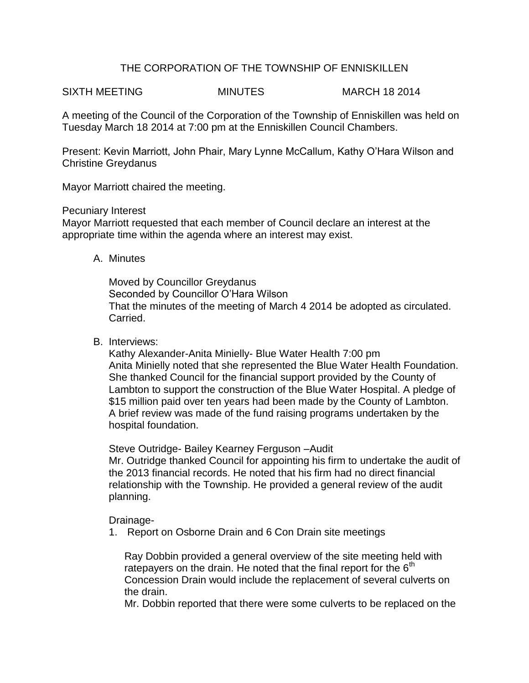# THE CORPORATION OF THE TOWNSHIP OF ENNISKILLEN

SIXTH MEETING MINUTES MINUTES MARCH 18 2014

A meeting of the Council of the Corporation of the Township of Enniskillen was held on Tuesday March 18 2014 at 7:00 pm at the Enniskillen Council Chambers.

Present: Kevin Marriott, John Phair, Mary Lynne McCallum, Kathy O'Hara Wilson and Christine Greydanus

Mayor Marriott chaired the meeting.

Pecuniary Interest

Mayor Marriott requested that each member of Council declare an interest at the appropriate time within the agenda where an interest may exist.

A. Minutes

Moved by Councillor Greydanus Seconded by Councillor O'Hara Wilson That the minutes of the meeting of March 4 2014 be adopted as circulated. Carried.

B. Interviews:

Kathy Alexander-Anita Minielly- Blue Water Health 7:00 pm Anita Minielly noted that she represented the Blue Water Health Foundation. She thanked Council for the financial support provided by the County of Lambton to support the construction of the Blue Water Hospital. A pledge of \$15 million paid over ten years had been made by the County of Lambton. A brief review was made of the fund raising programs undertaken by the hospital foundation.

Steve Outridge- Bailey Kearney Ferguson –Audit

Mr. Outridge thanked Council for appointing his firm to undertake the audit of the 2013 financial records. He noted that his firm had no direct financial relationship with the Township. He provided a general review of the audit planning.

Drainage-

1. Report on Osborne Drain and 6 Con Drain site meetings

Ray Dobbin provided a general overview of the site meeting held with ratepayers on the drain. He noted that the final report for the  $6<sup>th</sup>$ Concession Drain would include the replacement of several culverts on the drain.

Mr. Dobbin reported that there were some culverts to be replaced on the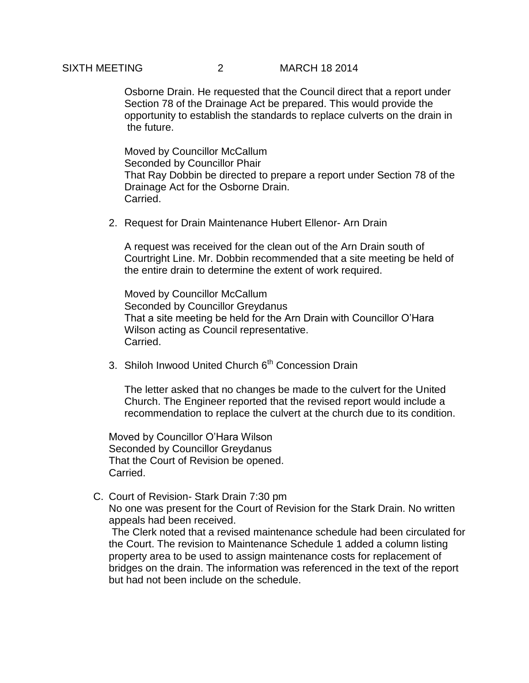## SIXTH MEETING 2 MARCH 18 2014

Osborne Drain. He requested that the Council direct that a report under Section 78 of the Drainage Act be prepared. This would provide the opportunity to establish the standards to replace culverts on the drain in the future.

Moved by Councillor McCallum Seconded by Councillor Phair That Ray Dobbin be directed to prepare a report under Section 78 of the Drainage Act for the Osborne Drain. Carried.

2. Request for Drain Maintenance Hubert Ellenor- Arn Drain

A request was received for the clean out of the Arn Drain south of Courtright Line. Mr. Dobbin recommended that a site meeting be held of the entire drain to determine the extent of work required.

Moved by Councillor McCallum Seconded by Councillor Greydanus That a site meeting be held for the Arn Drain with Councillor O'Hara Wilson acting as Council representative. Carried.

3. Shiloh Inwood United Church 6<sup>th</sup> Concession Drain

The letter asked that no changes be made to the culvert for the United Church. The Engineer reported that the revised report would include a recommendation to replace the culvert at the church due to its condition.

Moved by Councillor O'Hara Wilson Seconded by Councillor Greydanus That the Court of Revision be opened. Carried.

C. Court of Revision- Stark Drain 7:30 pm

No one was present for the Court of Revision for the Stark Drain. No written appeals had been received.

The Clerk noted that a revised maintenance schedule had been circulated for the Court. The revision to Maintenance Schedule 1 added a column listing property area to be used to assign maintenance costs for replacement of bridges on the drain. The information was referenced in the text of the report but had not been include on the schedule.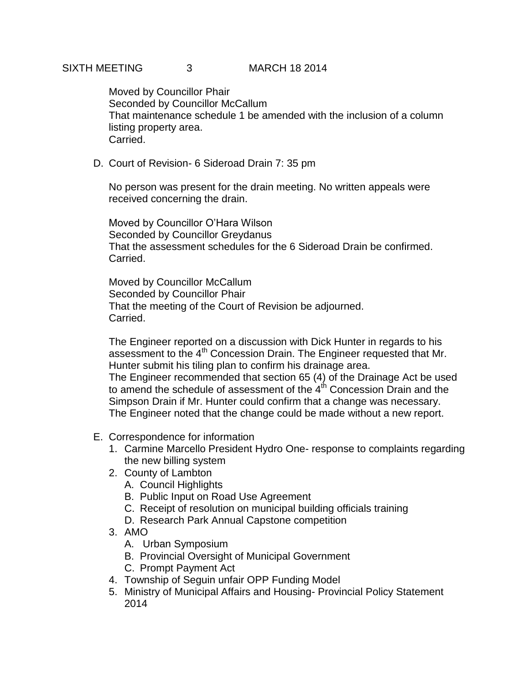Moved by Councillor Phair Seconded by Councillor McCallum That maintenance schedule 1 be amended with the inclusion of a column listing property area. Carried.

D. Court of Revision- 6 Sideroad Drain 7: 35 pm

No person was present for the drain meeting. No written appeals were received concerning the drain.

Moved by Councillor O'Hara Wilson Seconded by Councillor Greydanus That the assessment schedules for the 6 Sideroad Drain be confirmed. Carried.

Moved by Councillor McCallum Seconded by Councillor Phair That the meeting of the Court of Revision be adjourned. Carried.

The Engineer reported on a discussion with Dick Hunter in regards to his assessment to the 4<sup>th</sup> Concession Drain. The Engineer requested that Mr. Hunter submit his tiling plan to confirm his drainage area.

The Engineer recommended that section 65 (4) of the Drainage Act be used to amend the schedule of assessment of the  $4<sup>th</sup>$  Concession Drain and the Simpson Drain if Mr. Hunter could confirm that a change was necessary. The Engineer noted that the change could be made without a new report.

- E. Correspondence for information
	- 1. Carmine Marcello President Hydro One- response to complaints regarding the new billing system
	- 2. County of Lambton
		- A. Council Highlights
		- B. Public Input on Road Use Agreement
		- C. Receipt of resolution on municipal building officials training
		- D. Research Park Annual Capstone competition
	- 3. AMO
		- A. Urban Symposium
		- B. Provincial Oversight of Municipal Government
		- C. Prompt Payment Act
	- 4. Township of Seguin unfair OPP Funding Model
	- 5. Ministry of Municipal Affairs and Housing- Provincial Policy Statement 2014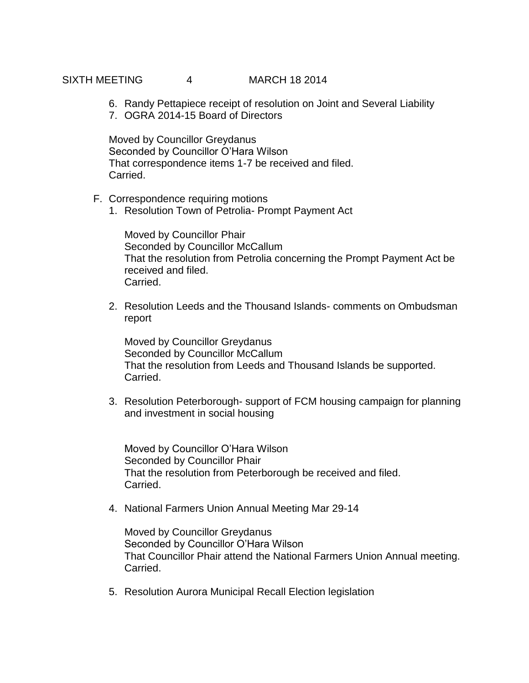# SIXTH MEETING 4 MARCH 18 2014

- 6. Randy Pettapiece receipt of resolution on Joint and Several Liability
- 7. OGRA 2014-15 Board of Directors

Moved by Councillor Greydanus Seconded by Councillor O'Hara Wilson That correspondence items 1-7 be received and filed. Carried.

- F. Correspondence requiring motions
	- 1. Resolution Town of Petrolia- Prompt Payment Act

Moved by Councillor Phair Seconded by Councillor McCallum That the resolution from Petrolia concerning the Prompt Payment Act be received and filed. Carried.

2. Resolution Leeds and the Thousand Islands- comments on Ombudsman report

Moved by Councillor Greydanus Seconded by Councillor McCallum That the resolution from Leeds and Thousand Islands be supported. Carried.

3. Resolution Peterborough- support of FCM housing campaign for planning and investment in social housing

Moved by Councillor O'Hara Wilson Seconded by Councillor Phair That the resolution from Peterborough be received and filed. Carried.

4. National Farmers Union Annual Meeting Mar 29-14

Moved by Councillor Greydanus Seconded by Councillor O'Hara Wilson That Councillor Phair attend the National Farmers Union Annual meeting. Carried.

5. Resolution Aurora Municipal Recall Election legislation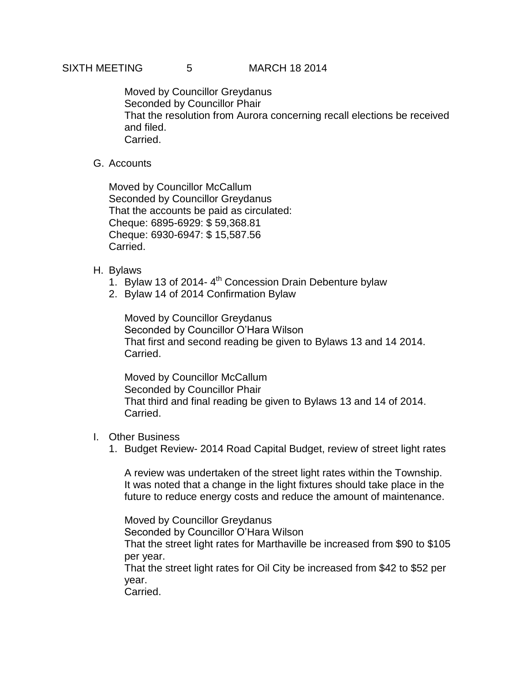# SIXTH MEETING 5 MARCH 18 2014

Moved by Councillor Greydanus Seconded by Councillor Phair That the resolution from Aurora concerning recall elections be received and filed. Carried.

# G. Accounts

Moved by Councillor McCallum Seconded by Councillor Greydanus That the accounts be paid as circulated: Cheque: 6895-6929: \$ 59,368.81 Cheque: 6930-6947: \$ 15,587.56 Carried.

## H. Bylaws

- 1. Bylaw 13 of 2014- 4<sup>th</sup> Concession Drain Debenture bylaw
- 2. Bylaw 14 of 2014 Confirmation Bylaw

Moved by Councillor Greydanus Seconded by Councillor O'Hara Wilson That first and second reading be given to Bylaws 13 and 14 2014. Carried.

Moved by Councillor McCallum Seconded by Councillor Phair That third and final reading be given to Bylaws 13 and 14 of 2014. Carried.

## I. Other Business

1. Budget Review- 2014 Road Capital Budget, review of street light rates

A review was undertaken of the street light rates within the Township. It was noted that a change in the light fixtures should take place in the future to reduce energy costs and reduce the amount of maintenance.

Moved by Councillor Greydanus

Seconded by Councillor O'Hara Wilson

That the street light rates for Marthaville be increased from \$90 to \$105 per year.

That the street light rates for Oil City be increased from \$42 to \$52 per year.

Carried.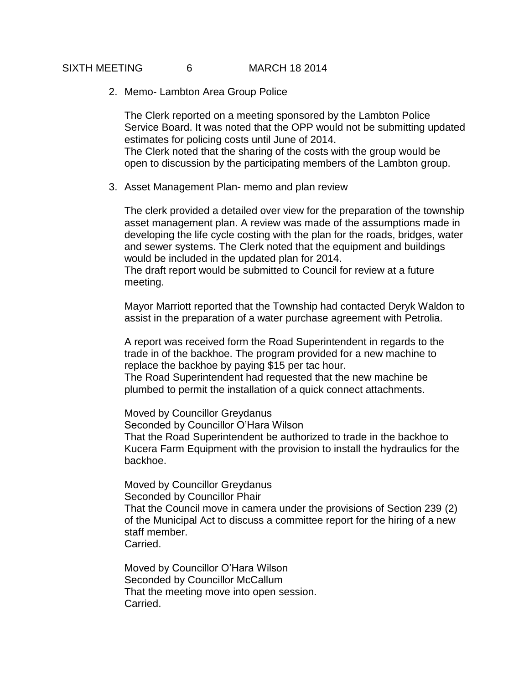## SIXTH MEETING 6 MARCH 18 2014

2. Memo- Lambton Area Group Police

The Clerk reported on a meeting sponsored by the Lambton Police Service Board. It was noted that the OPP would not be submitting updated estimates for policing costs until June of 2014. The Clerk noted that the sharing of the costs with the group would be open to discussion by the participating members of the Lambton group.

3. Asset Management Plan- memo and plan review

The clerk provided a detailed over view for the preparation of the township asset management plan. A review was made of the assumptions made in developing the life cycle costing with the plan for the roads, bridges, water and sewer systems. The Clerk noted that the equipment and buildings would be included in the updated plan for 2014.

The draft report would be submitted to Council for review at a future meeting.

Mayor Marriott reported that the Township had contacted Deryk Waldon to assist in the preparation of a water purchase agreement with Petrolia.

A report was received form the Road Superintendent in regards to the trade in of the backhoe. The program provided for a new machine to replace the backhoe by paying \$15 per tac hour. The Road Superintendent had requested that the new machine be

plumbed to permit the installation of a quick connect attachments.

Moved by Councillor Greydanus

Seconded by Councillor O'Hara Wilson

That the Road Superintendent be authorized to trade in the backhoe to Kucera Farm Equipment with the provision to install the hydraulics for the backhoe.

Moved by Councillor Greydanus Seconded by Councillor Phair That the Council move in camera under the provisions of Section 239 (2) of the Municipal Act to discuss a committee report for the hiring of a new staff member. Carried.

Moved by Councillor O'Hara Wilson Seconded by Councillor McCallum That the meeting move into open session. Carried.